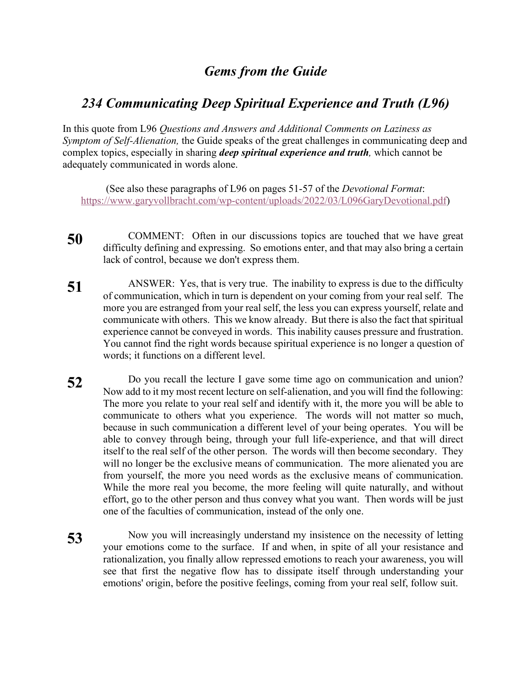## *Gems from the Guide*

## *234 Communicating Deep Spiritual Experience and Truth (L96)*

In this quote from L96 *Questions and Answers and Additional Comments on Laziness as Symptom of Self-Alienation,* the Guide speaks of the great challenges in communicating deep and complex topics, especially in sharing *deep spiritual experience and truth,* which cannot be adequately communicated in words alone.

(See also these paragraphs of L96 on pages 51-57 of the *Devotional Format*: https://www.garyvollbracht.com/wp-content/uploads/2022/03/L096GaryDevotional.pdf)

- **50** COMMENT: Often in our discussions topics are touched that we have great difficulty defining and expressing. So emotions enter, and that may also bring a certain lack of control, because we don't express them.
- **51** ANSWER: Yes, that is very true. The inability to express is due to the difficulty of communication, which in turn is dependent on your coming from your real self. The more you are estranged from your real self, the less you can express yourself, relate and communicate with others. This we know already. But there is also the fact that spiritual experience cannot be conveyed in words. This inability causes pressure and frustration. You cannot find the right words because spiritual experience is no longer a question of words; it functions on a different level.
- **52** Do you recall the lecture I gave some time ago on communication and union? Now add to it my most recent lecture on self-alienation, and you will find the following: The more you relate to your real self and identify with it, the more you will be able to communicate to others what you experience. The words will not matter so much, because in such communication a different level of your being operates. You will be able to convey through being, through your full life-experience, and that will direct itself to the real self of the other person. The words will then become secondary. They will no longer be the exclusive means of communication. The more alienated you are from yourself, the more you need words as the exclusive means of communication. While the more real you become, the more feeling will quite naturally, and without effort, go to the other person and thus convey what you want. Then words will be just one of the faculties of communication, instead of the only one.
- **53** Now you will increasingly understand my insistence on the necessity of letting your emotions come to the surface. If and when, in spite of all your resistance and rationalization, you finally allow repressed emotions to reach your awareness, you will see that first the negative flow has to dissipate itself through understanding your emotions' origin, before the positive feelings, coming from your real self, follow suit.